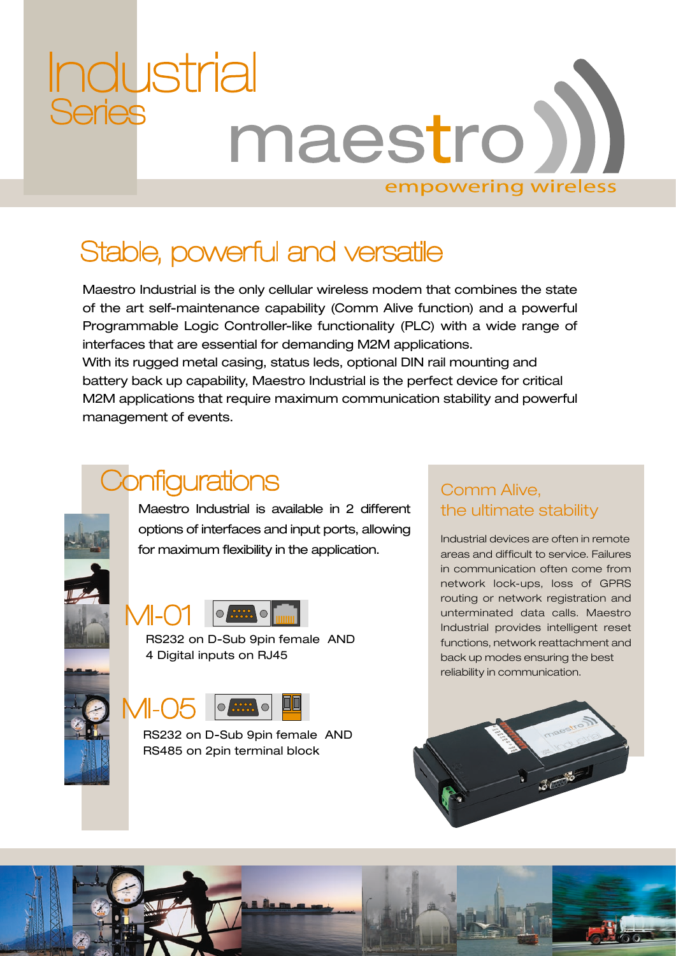# ndustrial<br>Series maestro) empowering wireless

### Stable, powerful and versatile

Maestro Industrial is the only cellular wireless modem that combines the state of the art self-maintenance capability (Comm Alive function) and a powerful Programmable Logic Controller-like functionality (PLC) with a wide range of interfaces that are essential for demanding M2M applications. With its rugged metal casing, status leds, optional DIN rail mounting and battery back up capability, Maestro Industrial is the perfect device for critical M2M applications that require maximum communication stability and powerful management of events.

### **Configurations**

Maestro Industrial is available in 2 different options of interfaces and input ports, allowing for maximum flexibility in the application.



RS232 on D-Sub 9pin female AND 4 Digital inputs on RJ45



RS232 on D-Sub 9pin female AND RS485 on 2pin terminal block

#### Comm Alive, the ultimate stability

Industrial devices are often in remote areas and difficult to service. Failures in communication often come from network lock-ups, loss of GPRS routing or network registration and unterminated data calls. Maestro Industrial provides intelligent reset functions, network reattachment and back up modes ensuring the best reliability in communication.